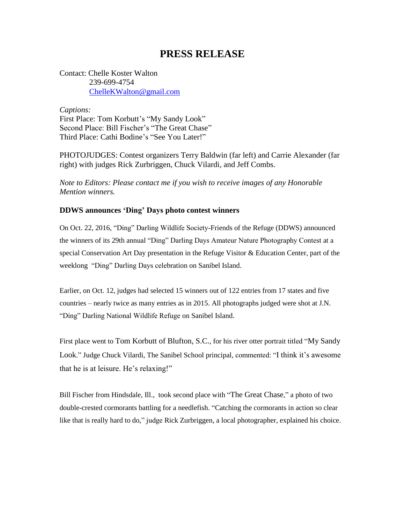## **PRESS RELEASE**

Contact: Chelle Koster Walton 239-699-4754 [ChelleKWalton@gmail.com](mailto:ChelleKWalton@gmail.com)

*Captions:* First Place: Tom Korbutt's "My Sandy Look" Second Place: Bill Fischer's "The Great Chase" Third Place: Cathi Bodine's "See You Later!"

PHOTOJUDGES: Contest organizers Terry Baldwin (far left) and Carrie Alexander (far right) with judges Rick Zurbriggen, Chuck Vilardi, and Jeff Combs.

*Note to Editors: Please contact me if you wish to receive images of any Honorable Mention winners.* 

## **DDWS announces 'Ding' Days photo contest winners**

On Oct. 22, 2016, "Ding" Darling Wildlife Society-Friends of the Refuge (DDWS) announced the winners of its 29th annual "Ding" Darling Days Amateur Nature Photography Contest at a special Conservation Art Day presentation in the Refuge Visitor & Education Center, part of the weeklong "Ding" Darling Days celebration on Sanibel Island.

Earlier, on Oct. 12, judges had selected 15 winners out of 122 entries from 17 states and five countries – nearly twice as many entries as in 2015. All photographs judged were shot at J.N. "Ding" Darling National Wildlife Refuge on Sanibel Island.

First place went to Tom Korbutt of Blufton, S.C., for his river otter portrait titled "My Sandy Look." Judge Chuck Vilardi, The Sanibel School principal, commented: "I think it's awesome that he is at leisure. He's relaxing!"

Bill Fischer from Hindsdale, Ill., took second place with "The Great Chase," a photo of two double-crested cormorants battling for a needlefish. "Catching the cormorants in action so clear like that is really hard to do," judge Rick Zurbriggen, a local photographer, explained his choice.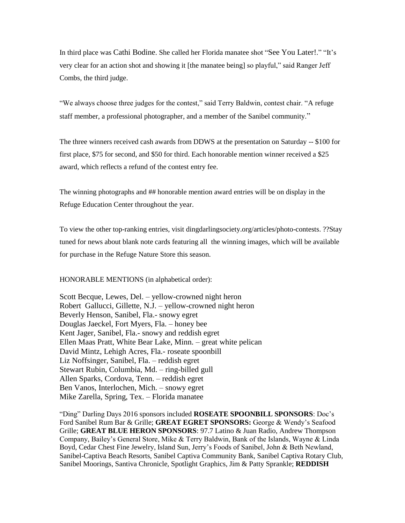In third place was Cathi Bodine. She called her Florida manatee shot "See You Later!." "It's very clear for an action shot and showing it [the manatee being] so playful," said Ranger Jeff Combs, the third judge.

"We always choose three judges for the contest," said Terry Baldwin, contest chair. "A refuge staff member, a professional photographer, and a member of the Sanibel community."

The three winners received cash awards from DDWS at the presentation on Saturday -- \$100 for first place, \$75 for second, and \$50 for third. Each honorable mention winner received a \$25 award, which reflects a refund of the contest entry fee.

The winning photographs and ## honorable mention award entries will be on display in the Refuge Education Center throughout the year.

To view the other top-ranking entries, visit dingdarlingsociety.org/articles/photo-contests. ??Stay tuned for news about blank note cards featuring all the winning images, which will be available for purchase in the Refuge Nature Store this season.

HONORABLE MENTIONS (in alphabetical order):

Scott Becque, Lewes, Del. – yellow-crowned night heron Robert Gallucci, Gillette, N.J. – yellow-crowned night heron Beverly Henson, Sanibel, Fla.- snowy egret Douglas Jaeckel, Fort Myers, Fla. – honey bee Kent Jager, Sanibel, Fla.- snowy and reddish egret Ellen Maas Pratt, White Bear Lake, Minn. – great white pelican David Mintz, Lehigh Acres, Fla.- roseate spoonbill Liz Noffsinger, Sanibel, Fla. – reddish egret Stewart Rubin, Columbia, Md. – ring-billed gull Allen Sparks, Cordova, Tenn. – reddish egret Ben Vanos, Interlochen, Mich. – snowy egret Mike Zarella, Spring, Tex. – Florida manatee

"Ding" Darling Days 2016 sponsors included **ROSEATE SPOONBILL SPONSORS**: Doc's Ford Sanibel Rum Bar & Grille; **GREAT EGRET SPONSORS:** George & Wendy's Seafood Grille; **GREAT BLUE HERON SPONSORS**: 97.7 Latino & Juan Radio, Andrew Thompson Company, Bailey's General Store, Mike & Terry Baldwin, Bank of the Islands, Wayne & Linda Boyd, Cedar Chest Fine Jewelry, Island Sun, Jerry's Foods of Sanibel, John & Beth Newland, Sanibel-Captiva Beach Resorts, Sanibel Captiva Community Bank, Sanibel Captiva Rotary Club, Sanibel Moorings, Santiva Chronicle, Spotlight Graphics, Jim & Patty Sprankle; **REDDISH**